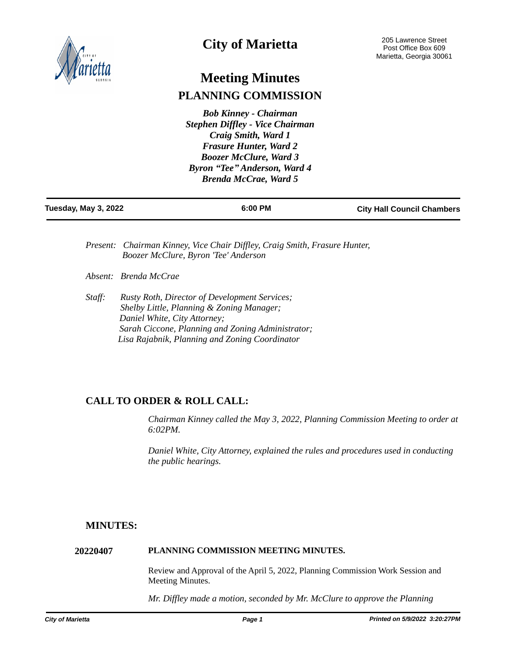

# **City of Marietta**

# **Meeting Minutes PLANNING COMMISSION**

*Bob Kinney - Chairman Stephen Diffley - Vice Chairman Craig Smith, Ward 1 Frasure Hunter, Ward 2 Boozer McClure, Ward 3 Byron "Tee" Anderson, Ward 4 Brenda McCrae, Ward 5*

| Tuesday, May 3, 2022 | 6:00 PM | <b>City Hall Council Chambers</b> |
|----------------------|---------|-----------------------------------|
|                      |         |                                   |

- *Present: Chairman Kinney, Vice Chair Diffley, Craig Smith, Frasure Hunter, Boozer McClure, Byron 'Tee' Anderson*
- *Absent: Brenda McCrae*
- *Staff: Rusty Roth, Director of Development Services; Shelby Little, Planning & Zoning Manager; Daniel White, City Attorney; Sarah Ciccone, Planning and Zoning Administrator; Lisa Rajabnik, Planning and Zoning Coordinator*

# **CALL TO ORDER & ROLL CALL:**

*Chairman Kinney called the May 3, 2022, Planning Commission Meeting to order at 6:02PM.* 

*Daniel White, City Attorney, explained the rules and procedures used in conducting the public hearings.*

# **MINUTES:**

## **20220407 PLANNING COMMISSION MEETING MINUTES.**

Review and Approval of the April 5, 2022, Planning Commission Work Session and Meeting Minutes.

*Mr. Diffley made a motion, seconded by Mr. McClure to approve the Planning*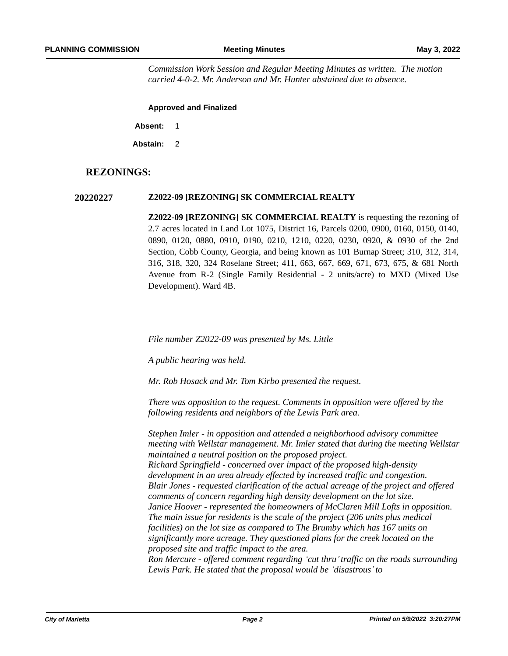*Commission Work Session and Regular Meeting Minutes as written. The motion carried 4-0-2. Mr. Anderson and Mr. Hunter abstained due to absence.* 

**Approved and Finalized**

**Absent:** 1

**Abstain:** 2

# **REZONINGS:**

#### **20220227 Z2022-09 [REZONING] SK COMMERCIAL REALTY**

**Z2022-09 [REZONING] SK COMMERCIAL REALTY** is requesting the rezoning of 2.7 acres located in Land Lot 1075, District 16, Parcels 0200, 0900, 0160, 0150, 0140, 0890, 0120, 0880, 0910, 0190, 0210, 1210, 0220, 0230, 0920, & 0930 of the 2nd Section, Cobb County, Georgia, and being known as 101 Burnap Street; 310, 312, 314, 316, 318, 320, 324 Roselane Street; 411, 663, 667, 669, 671, 673, 675, & 681 North Avenue from R-2 (Single Family Residential - 2 units/acre) to MXD (Mixed Use Development). Ward 4B.

*File number Z2022-09 was presented by Ms. Little*

*A public hearing was held.*

*Mr. Rob Hosack and Mr. Tom Kirbo presented the request.* 

*There was opposition to the request. Comments in opposition were offered by the following residents and neighbors of the Lewis Park area.* 

*Stephen Imler - in opposition and attended a neighborhood advisory committee meeting with Wellstar management. Mr. Imler stated that during the meeting Wellstar maintained a neutral position on the proposed project. Richard Springfield - concerned over impact of the proposed high-density development in an area already effected by increased traffic and congestion. Blair Jones - requested clarification of the actual acreage of the project and offered comments of concern regarding high density development on the lot size. Janice Hoover - represented the homeowners of McClaren Mill Lofts in opposition. The main issue for residents is the scale of the project (206 units plus medical facilities) on the lot size as compared to The Brumby which has 167 units on significantly more acreage. They questioned plans for the creek located on the proposed site and traffic impact to the area. Ron Mercure - offered comment regarding 'cut thru'traffic on the roads surrounding Lewis Park. He stated that the proposal would be 'disastrous'to*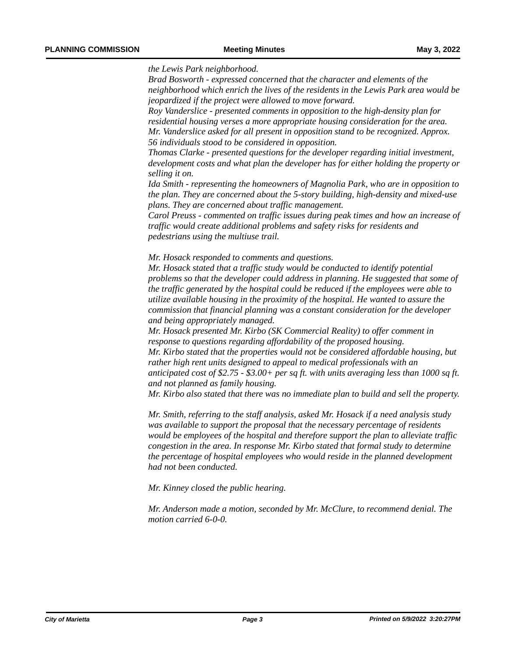*the Lewis Park neighborhood.* 

*Brad Bosworth - expressed concerned that the character and elements of the neighborhood which enrich the lives of the residents in the Lewis Park area would be jeopardized if the project were allowed to move forward.* 

*Roy Vanderslice - presented comments in opposition to the high-density plan for residential housing verses a more appropriate housing consideration for the area. Mr. Vanderslice asked for all present in opposition stand to be recognized. Approx. 56 individuals stood to be considered in opposition.* 

*Thomas Clarke - presented questions for the developer regarding initial investment, development costs and what plan the developer has for either holding the property or selling it on.*

*Ida Smith - representing the homeowners of Magnolia Park, who are in opposition to the plan. They are concerned about the 5-story building, high-density and mixed-use plans. They are concerned about traffic management.* 

*Carol Preuss - commented on traffic issues during peak times and how an increase of traffic would create additional problems and safety risks for residents and pedestrians using the multiuse trail.*

*Mr. Hosack responded to comments and questions.* 

*Mr. Hosack stated that a traffic study would be conducted to identify potential problems so that the developer could address in planning. He suggested that some of the traffic generated by the hospital could be reduced if the employees were able to utilize available housing in the proximity of the hospital. He wanted to assure the commission that financial planning was a constant consideration for the developer and being appropriately managed.* 

*Mr. Hosack presented Mr. Kirbo (SK Commercial Reality) to offer comment in response to questions regarding affordability of the proposed housing. Mr. Kirbo stated that the properties would not be considered affordable housing, but* 

*rather high rent units designed to appeal to medical professionals with an anticipated cost of \$2.75 - \$3.00+ per sq ft. with units averaging less than 1000 sq ft. and not planned as family housing.* 

*Mr. Kirbo also stated that there was no immediate plan to build and sell the property.*

*Mr. Smith, referring to the staff analysis, asked Mr. Hosack if a need analysis study was available to support the proposal that the necessary percentage of residents would be employees of the hospital and therefore support the plan to alleviate traffic congestion in the area. In response Mr. Kirbo stated that formal study to determine the percentage of hospital employees who would reside in the planned development had not been conducted.*

*Mr. Kinney closed the public hearing.*

*Mr. Anderson made a motion, seconded by Mr. McClure, to recommend denial. The motion carried 6-0-0.*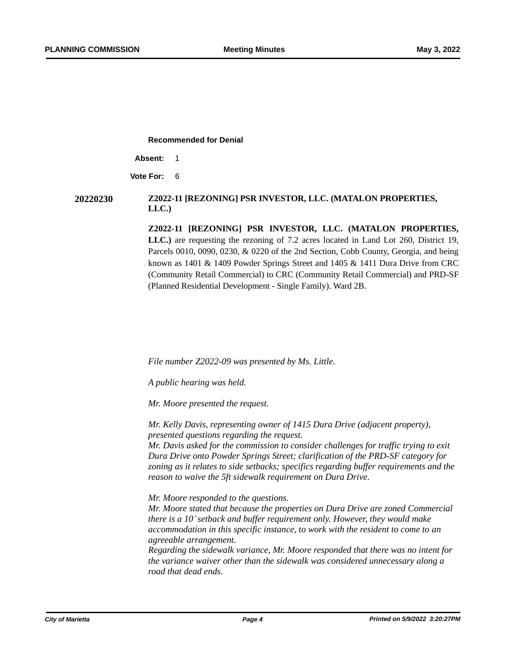**Recommended for Denial**

**Absent:** 1

**Vote For:** 6

## **20220230 Z2022-11 [REZONING] PSR INVESTOR, LLC. (MATALON PROPERTIES, LLC.)**

**Z2022-11 [REZONING] PSR INVESTOR, LLC. (MATALON PROPERTIES, LLC.)** are requesting the rezoning of 7.2 acres located in Land Lot 260, District 19, Parcels 0010, 0090, 0230, & 0220 of the 2nd Section, Cobb County, Georgia, and being known as 1401 & 1409 Powder Springs Street and 1405 & 1411 Dura Drive from CRC (Community Retail Commercial) to CRC (Community Retail Commercial) and PRD-SF (Planned Residential Development - Single Family). Ward 2B.

*File number Z2022-09 was presented by Ms. Little.* 

*A public hearing was held.*

*Mr. Moore presented the request.*

*Mr. Kelly Davis, representing owner of 1415 Dura Drive (adjacent property), presented questions regarding the request.* 

*Mr. Davis asked for the commission to consider challenges for traffic trying to exit Dura Drive onto Powder Springs Street; clarification of the PRD-SF category for zoning as it relates to side setbacks; specifics regarding buffer requirements and the reason to waive the 5ft sidewalk requirement on Dura Drive.*

*Mr. Moore responded to the questions.*

*Mr. Moore stated that because the properties on Dura Drive are zoned Commercial there is a 10'setback and buffer requirement only. However, they would make accommodation in this specific instance, to work with the resident to come to an agreeable arrangement.* 

*Regarding the sidewalk variance, Mr. Moore responded that there was no intent for the variance waiver other than the sidewalk was considered unnecessary along a road that dead ends.*